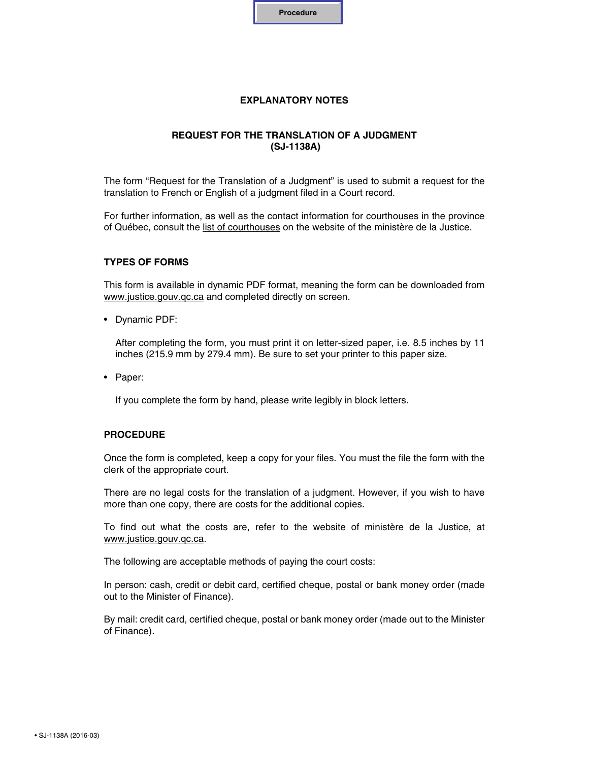

## **EXPLANATORY NOTES**

## **REQUEST FOR THE TRANSLATION OF A JUDGMENT (SJ-1138A)**

The form "Request for the Translation of a Judgment" is used to submit a request for the translation to French or English of a judgment filed in a Court record.

For further information, as well as the contact information for courthouses in the province of Québec, consult the [list of courthouses](http://www.justice.gouv.qc.ca/en/join-us/find-a-courthouse/) on the website of the ministère de la Justice.

### **TYPES OF FORMS**

This form is available in dynamic PDF format, meaning the form can be downloaded from www.justice.gouv.gc.ca and completed directly on screen.

• Dynamic PDF:

After completing the form, you must print it on letter-sized paper, i.e. 8.5 inches by 11 inches (215.9 mm by 279.4 mm). Be sure to set your printer to this paper size.

• Paper:

If you complete the form by hand, please write legibly in block letters.

#### **PROCEDURE**

Once the form is completed, keep a copy for your files. You must the file the form with the clerk of the appropriate court.

There are no legal costs for the translation of a judgment. However, if you wish to have more than one copy, there are costs for the additional copies.

To find out what the costs are, refer to the website of ministère de la Justice, at [www.justice.gouv.qc.ca.](http://www.justice.gouv.qc.ca/en/documentation-center/judicial-fees/tariff-of-court-costs/)

The following are acceptable methods of paying the court costs:

In person: cash, credit or debit card, certified cheque, postal or bank money order (made out to the Minister of Finance).

By mail: credit card, certified cheque, postal or bank money order (made out to the Minister of Finance).